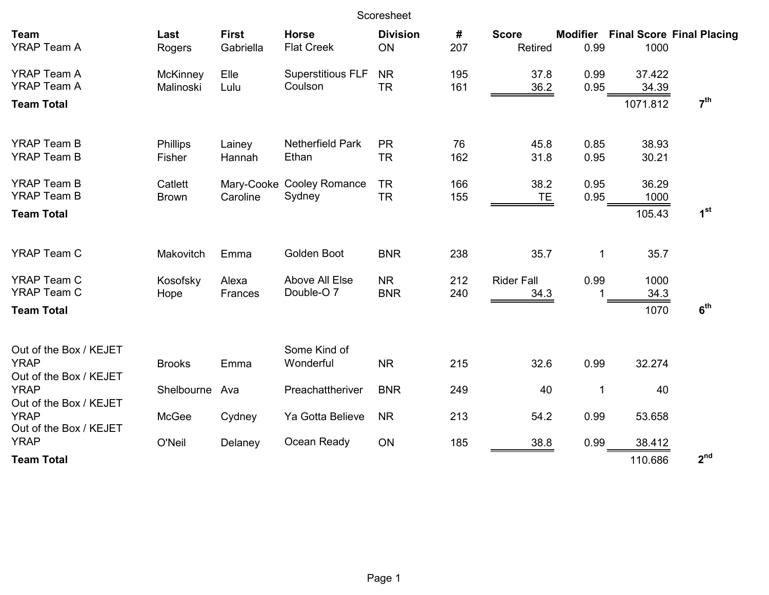| Scoresheet                                                      |                              |                           |                                         |                         |            |                           |              |                             |                                           |
|-----------------------------------------------------------------|------------------------------|---------------------------|-----------------------------------------|-------------------------|------------|---------------------------|--------------|-----------------------------|-------------------------------------------|
| <b>Team</b><br><b>YRAP Team A</b>                               | Last<br>Rogers               | <b>First</b><br>Gabriella | <b>Horse</b><br><b>Flat Creek</b>       | <b>Division</b><br>ON   | #<br>207   | <b>Score</b><br>Retired   | 0.99         | 1000                        | <b>Modifier</b> Final Score Final Placing |
| <b>YRAP Team A</b><br><b>YRAP Team A</b><br><b>Team Total</b>   | <b>McKinney</b><br>Malinoski | Elle<br>Lulu              | <b>Superstitious FLF</b><br>Coulson     | <b>NR</b><br><b>TR</b>  | 195<br>161 | 37.8<br>36.2              | 0.99<br>0.95 | 37.422<br>34.39<br>1071.812 | 7 <sup>th</sup>                           |
|                                                                 |                              |                           |                                         |                         |            |                           |              |                             |                                           |
| <b>YRAP Team B</b><br><b>YRAP Team B</b>                        | <b>Phillips</b><br>Fisher    | Lainey<br>Hannah          | <b>Netherfield Park</b><br>Ethan        | <b>PR</b><br><b>TR</b>  | 76<br>162  | 45.8<br>31.8              | 0.85<br>0.95 | 38.93<br>30.21              |                                           |
| <b>YRAP Team B</b><br><b>YRAP Team B</b>                        | Catlett<br><b>Brown</b>      | Caroline                  | Mary-Cooke Cooley Romance<br>Sydney     | <b>TR</b><br><b>TR</b>  | 166<br>155 | 38.2<br><b>TE</b>         | 0.95<br>0.95 | 36.29<br>1000               |                                           |
| <b>Team Total</b>                                               |                              |                           |                                         |                         |            |                           |              | 105.43                      | 1 <sup>st</sup>                           |
| <b>YRAP Team C</b>                                              | Makovitch                    | Emma                      | Golden Boot                             | <b>BNR</b>              | 238        | 35.7                      | 1            | 35.7                        |                                           |
| <b>YRAP Team C</b><br><b>YRAP Team C</b>                        | Kosofsky<br>Hope             | Alexa<br>Frances          | Above All Else<br>Double-O <sub>7</sub> | <b>NR</b><br><b>BNR</b> | 212<br>240 | <b>Rider Fall</b><br>34.3 | 0.99<br>1    | 1000<br>34.3                |                                           |
| <b>Team Total</b>                                               |                              |                           |                                         |                         |            |                           |              | 1070                        | 6 <sup>th</sup>                           |
| Out of the Box / KEJET<br><b>YRAP</b><br>Out of the Box / KEJET | <b>Brooks</b>                | Emma                      | Some Kind of<br>Wonderful               | <b>NR</b>               | 215        | 32.6                      | 0.99         | 32.274                      |                                           |
| <b>YRAP</b><br>Out of the Box / KEJET                           | Shelbourne                   | Ava                       | Preachattheriver                        | <b>BNR</b>              | 249        | 40                        | $\mathbf 1$  | 40                          |                                           |
| <b>YRAP</b><br>Out of the Box / KEJET                           | McGee                        | Cydney                    | Ya Gotta Believe                        | <b>NR</b>               | 213        | 54.2                      | 0.99         | 53.658                      |                                           |
| <b>YRAP</b><br><b>Team Total</b>                                | O'Neil                       | Delaney                   | Ocean Ready                             | ON                      | 185        | 38.8                      | 0.99         | 38.412<br>110.686           | 2 <sup>nd</sup>                           |
|                                                                 |                              |                           |                                         |                         |            |                           |              |                             |                                           |